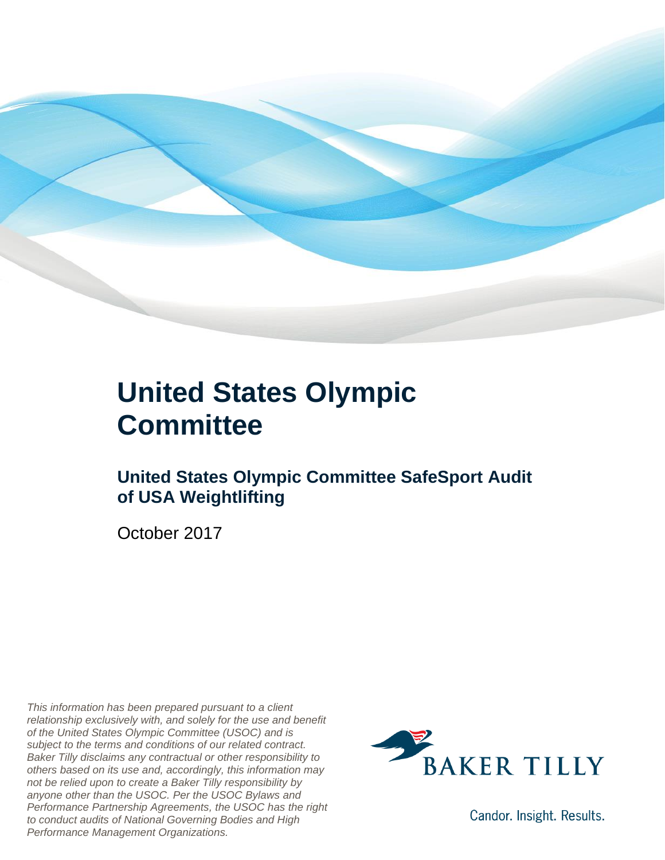

#### **United States Olympic Committee**

#### **United States Olympic Committee SafeSport Audit of USA Weightlifting**

October 2017

*This information has been prepared pursuant to a client relationship exclusively with, and solely for the use and benefit of the United States Olympic Committee (USOC) and is subject to the terms and conditions of our related contract. Baker Tilly disclaims any contractual or other responsibility to others based on its use and, accordingly, this information may not be relied upon to create a Baker Tilly responsibility by anyone other than the USOC. Per the USOC Bylaws and Performance Partnership Agreements, the USOC has the right to conduct audits of National Governing Bodies and High Performance Management Organizations.*



Candor. Insight. Results.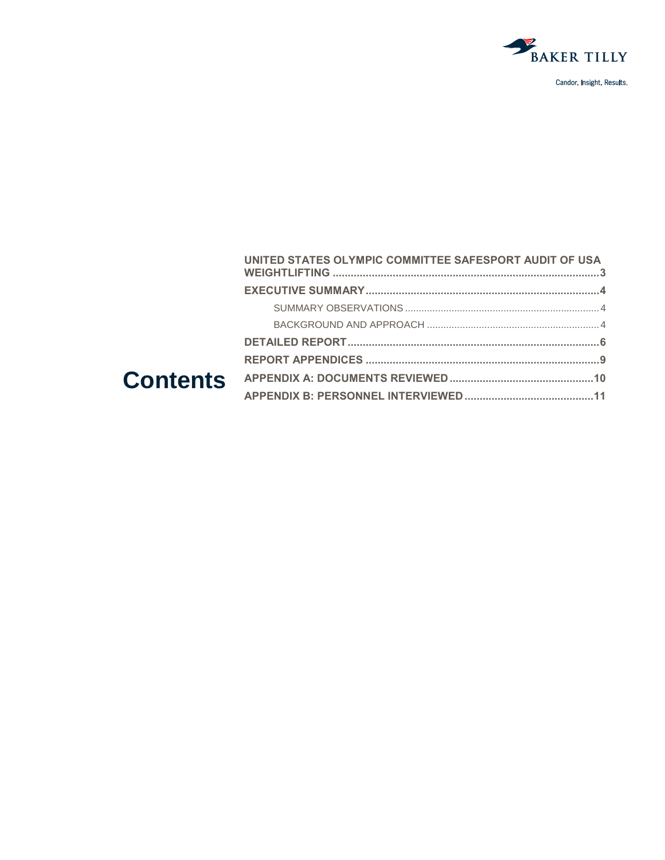

|  | UNITED STATES OLYMPIC COMMITTEE SAFESPORT AUDIT OF USA |  |
|--|--------------------------------------------------------|--|
|  |                                                        |  |
|  |                                                        |  |
|  |                                                        |  |
|  |                                                        |  |
|  |                                                        |  |
|  |                                                        |  |
|  |                                                        |  |
|  |                                                        |  |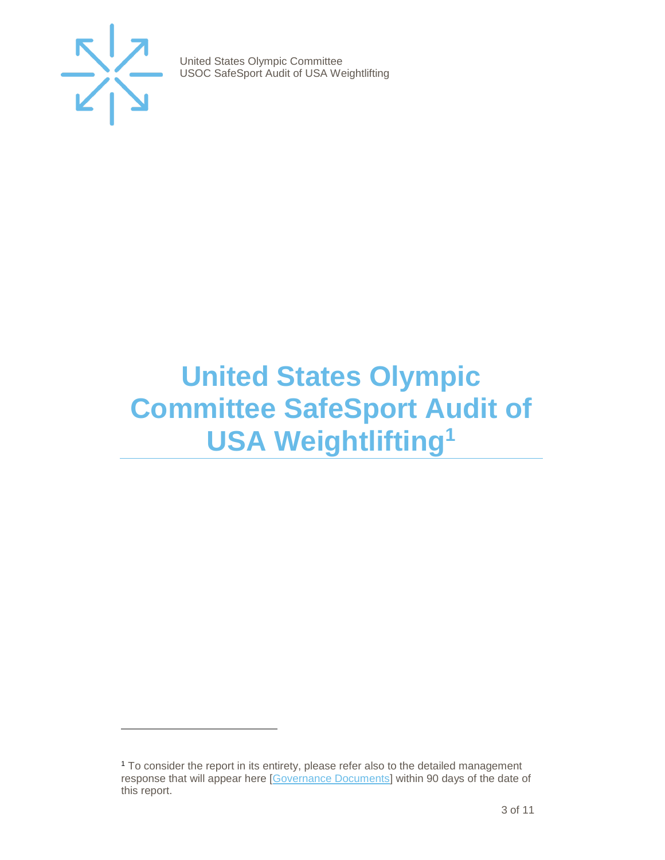

 $\overline{a}$ 

United States Olympic Committee USOC SafeSport Audit of USA Weightlifting

### <span id="page-2-0"></span>**United States Olympic Committee SafeSport Audit of USA Weightlifting<sup>1</sup>**

<sup>&</sup>lt;sup>1</sup> To consider the report in its entirety, please refer also to the detailed management response that will appear here [\[Governance Documents\]](https://www.teamusa.org/Footer/Legal/Governance-Documents) within 90 days of the date of this report.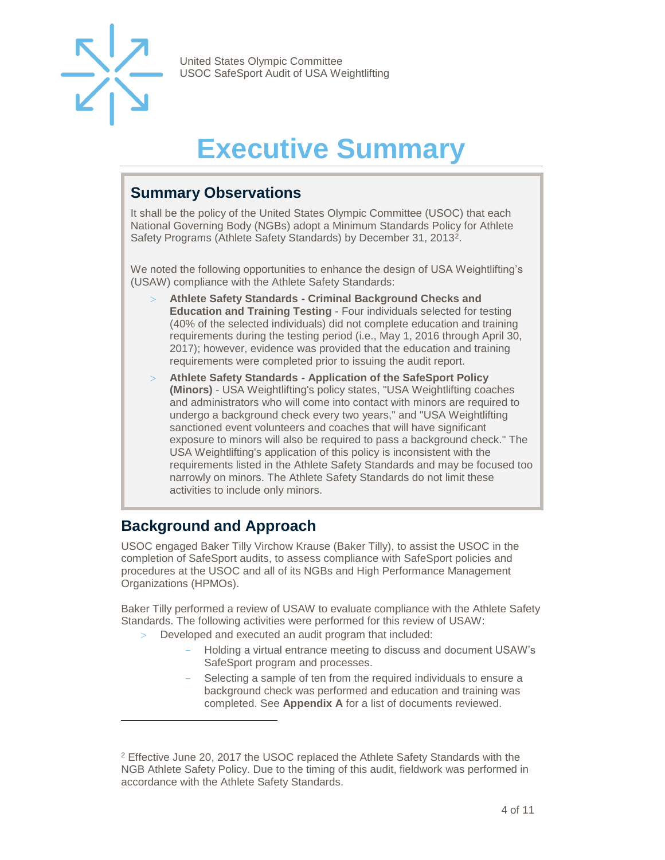

## **Executive Summary**

#### <span id="page-3-1"></span><span id="page-3-0"></span>**Summary Observations**

It shall be the policy of the United States Olympic Committee (USOC) that each National Governing Body (NGBs) adopt a Minimum Standards Policy for Athlete Safety Programs (Athlete Safety Standards) by December 31, 2013<sup>2</sup>.

We noted the following opportunities to enhance the design of USA Weightlifting's (USAW) compliance with the Athlete Safety Standards:

- **Athlete Safety Standards - Criminal Background Checks and Education and Training Testing** - Four individuals selected for testing (40% of the selected individuals) did not complete education and training requirements during the testing period (i.e., May 1, 2016 through April 30, 2017); however, evidence was provided that the education and training requirements were completed prior to issuing the audit report.
- **Athlete Safety Standards - Application of the SafeSport Policy (Minors)** - USA Weightlifting's policy states, "USA Weightlifting coaches and administrators who will come into contact with minors are required to undergo a background check every two years," and "USA Weightlifting sanctioned event volunteers and coaches that will have significant exposure to minors will also be required to pass a background check." The USA Weightlifting's application of this policy is inconsistent with the requirements listed in the Athlete Safety Standards and may be focused too narrowly on minors. The Athlete Safety Standards do not limit these activities to include only minors.

#### <span id="page-3-2"></span>**Background and Approach**

 $\overline{a}$ 

USOC engaged Baker Tilly Virchow Krause (Baker Tilly), to assist the USOC in the completion of SafeSport audits, to assess compliance with SafeSport policies and procedures at the USOC and all of its NGBs and High Performance Management Organizations (HPMOs).

Baker Tilly performed a review of USAW to evaluate compliance with the Athlete Safety Standards. The following activities were performed for this review of USAW:

- Developed and executed an audit program that included:
	- Holding a virtual entrance meeting to discuss and document USAW's SafeSport program and processes.
	- Selecting a sample of ten from the required individuals to ensure a background check was performed and education and training was completed. See **Appendix A** for a list of documents reviewed.

<sup>2</sup> Effective June 20, 2017 the USOC replaced the Athlete Safety Standards with the NGB Athlete Safety Policy. Due to the timing of this audit, fieldwork was performed in accordance with the Athlete Safety Standards.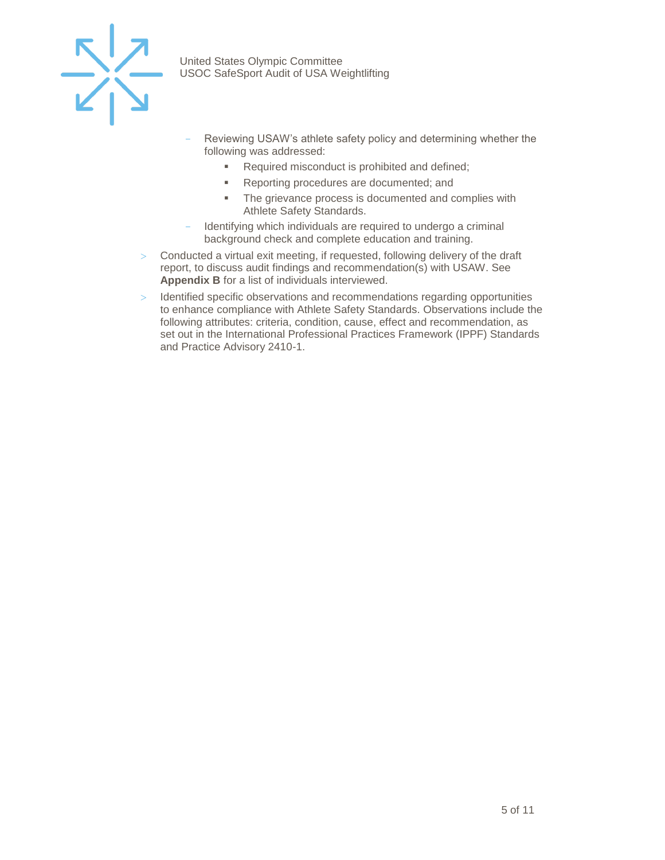

- Reviewing USAW's athlete safety policy and determining whether the following was addressed:
	- Required misconduct is prohibited and defined;
	- Reporting procedures are documented; and
	- The grievance process is documented and complies with Athlete Safety Standards.
- Identifying which individuals are required to undergo a criminal background check and complete education and training.
- Conducted a virtual exit meeting, if requested, following delivery of the draft report, to discuss audit findings and recommendation(s) with USAW. See **Appendix B** for a list of individuals interviewed.
- > Identified specific observations and recommendations regarding opportunities to enhance compliance with Athlete Safety Standards. Observations include the following attributes: criteria, condition, cause, effect and recommendation, as set out in the International Professional Practices Framework (IPPF) Standards and Practice Advisory 2410-1.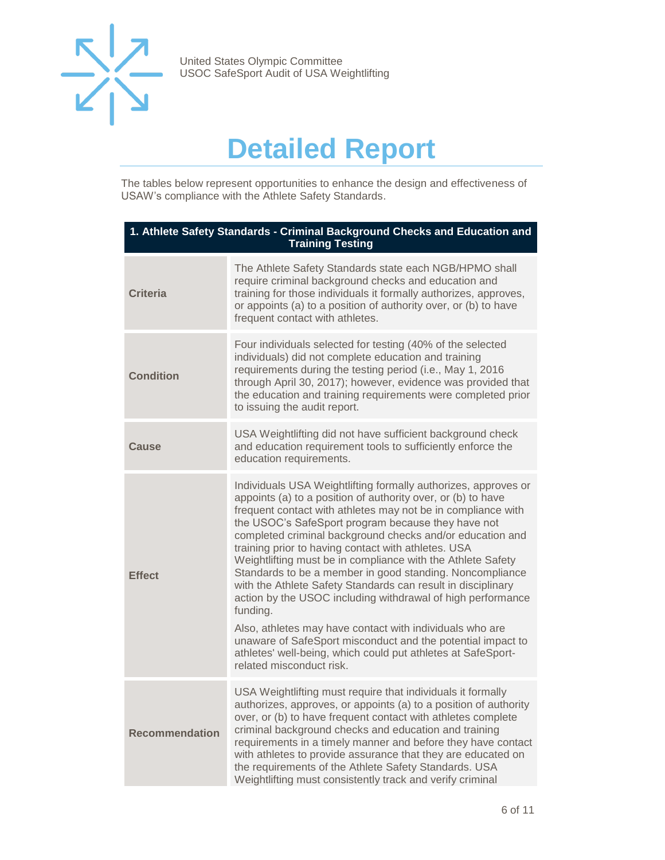

### **Detailed Report**

<span id="page-5-0"></span>The tables below represent opportunities to enhance the design and effectiveness of USAW's compliance with the Athlete Safety Standards.

| 1. Athlete Safety Standards - Criminal Background Checks and Education and<br><b>Training Testing</b> |                                                                                                                                                                                                                                                                                                                                                                                                                                                                                                                                                                                                                                                                                                                                                                                                                                                                       |  |
|-------------------------------------------------------------------------------------------------------|-----------------------------------------------------------------------------------------------------------------------------------------------------------------------------------------------------------------------------------------------------------------------------------------------------------------------------------------------------------------------------------------------------------------------------------------------------------------------------------------------------------------------------------------------------------------------------------------------------------------------------------------------------------------------------------------------------------------------------------------------------------------------------------------------------------------------------------------------------------------------|--|
| <b>Criteria</b>                                                                                       | The Athlete Safety Standards state each NGB/HPMO shall<br>require criminal background checks and education and<br>training for those individuals it formally authorizes, approves,<br>or appoints (a) to a position of authority over, or (b) to have<br>frequent contact with athletes.                                                                                                                                                                                                                                                                                                                                                                                                                                                                                                                                                                              |  |
| <b>Condition</b>                                                                                      | Four individuals selected for testing (40% of the selected<br>individuals) did not complete education and training<br>requirements during the testing period (i.e., May 1, 2016<br>through April 30, 2017); however, evidence was provided that<br>the education and training requirements were completed prior<br>to issuing the audit report.                                                                                                                                                                                                                                                                                                                                                                                                                                                                                                                       |  |
| Cause                                                                                                 | USA Weightlifting did not have sufficient background check<br>and education requirement tools to sufficiently enforce the<br>education requirements.                                                                                                                                                                                                                                                                                                                                                                                                                                                                                                                                                                                                                                                                                                                  |  |
| <b>Effect</b>                                                                                         | Individuals USA Weightlifting formally authorizes, approves or<br>appoints (a) to a position of authority over, or (b) to have<br>frequent contact with athletes may not be in compliance with<br>the USOC's SafeSport program because they have not<br>completed criminal background checks and/or education and<br>training prior to having contact with athletes. USA<br>Weightlifting must be in compliance with the Athlete Safety<br>Standards to be a member in good standing. Noncompliance<br>with the Athlete Safety Standards can result in disciplinary<br>action by the USOC including withdrawal of high performance<br>funding.<br>Also, athletes may have contact with individuals who are<br>unaware of SafeSport misconduct and the potential impact to<br>athletes' well-being, which could put athletes at SafeSport-<br>related misconduct risk. |  |
| <b>Recommendation</b>                                                                                 | USA Weightlifting must require that individuals it formally<br>authorizes, approves, or appoints (a) to a position of authority<br>over, or (b) to have frequent contact with athletes complete<br>criminal background checks and education and training<br>requirements in a timely manner and before they have contact<br>with athletes to provide assurance that they are educated on<br>the requirements of the Athlete Safety Standards. USA<br>Weightlifting must consistently track and verify criminal                                                                                                                                                                                                                                                                                                                                                        |  |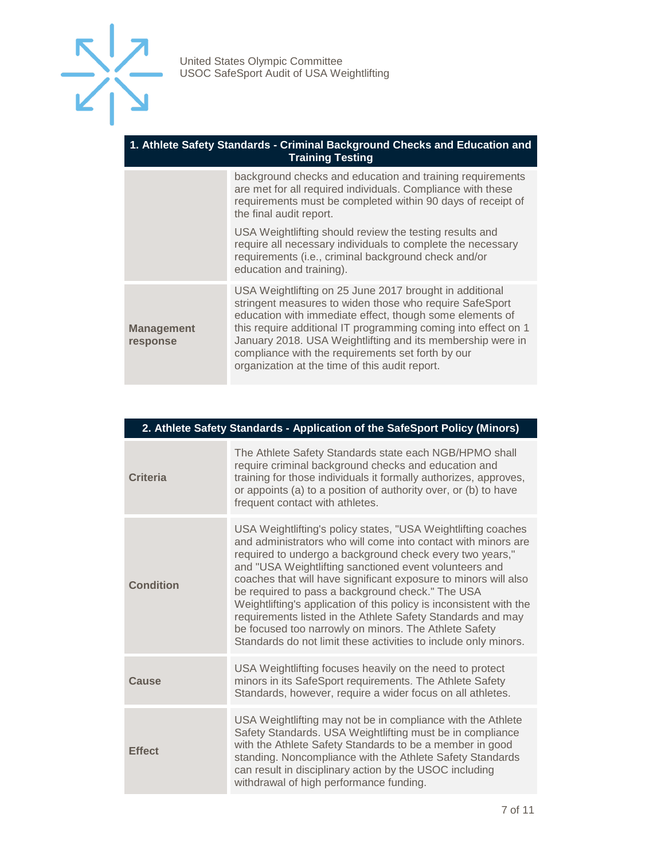

#### **1. Athlete Safety Standards - Criminal Background Checks and Education and Training Testing**

|                               | background checks and education and training requirements<br>are met for all required individuals. Compliance with these<br>requirements must be completed within 90 days of receipt of<br>the final audit report.                                                                                                                                                                                                    |
|-------------------------------|-----------------------------------------------------------------------------------------------------------------------------------------------------------------------------------------------------------------------------------------------------------------------------------------------------------------------------------------------------------------------------------------------------------------------|
|                               | USA Weightlifting should review the testing results and<br>require all necessary individuals to complete the necessary<br>requirements (i.e., criminal background check and/or<br>education and training).                                                                                                                                                                                                            |
| <b>Management</b><br>response | USA Weightlifting on 25 June 2017 brought in additional<br>stringent measures to widen those who require SafeSport<br>education with immediate effect, though some elements of<br>this require additional IT programming coming into effect on 1<br>January 2018. USA Weightlifting and its membership were in<br>compliance with the requirements set forth by our<br>organization at the time of this audit report. |

| 2. Athlete Safety Standards - Application of the SafeSport Policy (Minors) |                                                                                                                                                                                                                                                                                                                                                                                                                                                                                                                                                                                                                                               |  |
|----------------------------------------------------------------------------|-----------------------------------------------------------------------------------------------------------------------------------------------------------------------------------------------------------------------------------------------------------------------------------------------------------------------------------------------------------------------------------------------------------------------------------------------------------------------------------------------------------------------------------------------------------------------------------------------------------------------------------------------|--|
| <b>Criteria</b>                                                            | The Athlete Safety Standards state each NGB/HPMO shall<br>require criminal background checks and education and<br>training for those individuals it formally authorizes, approves,<br>or appoints (a) to a position of authority over, or (b) to have<br>frequent contact with athletes.                                                                                                                                                                                                                                                                                                                                                      |  |
| <b>Condition</b>                                                           | USA Weightlifting's policy states, "USA Weightlifting coaches<br>and administrators who will come into contact with minors are<br>required to undergo a background check every two years,"<br>and "USA Weightlifting sanctioned event volunteers and<br>coaches that will have significant exposure to minors will also<br>be required to pass a background check." The USA<br>Weightlifting's application of this policy is inconsistent with the<br>requirements listed in the Athlete Safety Standards and may<br>be focused too narrowly on minors. The Athlete Safety<br>Standards do not limit these activities to include only minors. |  |
| Cause                                                                      | USA Weightlifting focuses heavily on the need to protect<br>minors in its SafeSport requirements. The Athlete Safety<br>Standards, however, require a wider focus on all athletes.                                                                                                                                                                                                                                                                                                                                                                                                                                                            |  |
| <b>Effect</b>                                                              | USA Weightlifting may not be in compliance with the Athlete<br>Safety Standards. USA Weightlifting must be in compliance<br>with the Athlete Safety Standards to be a member in good<br>standing. Noncompliance with the Athlete Safety Standards<br>can result in disciplinary action by the USOC including<br>withdrawal of high performance funding.                                                                                                                                                                                                                                                                                       |  |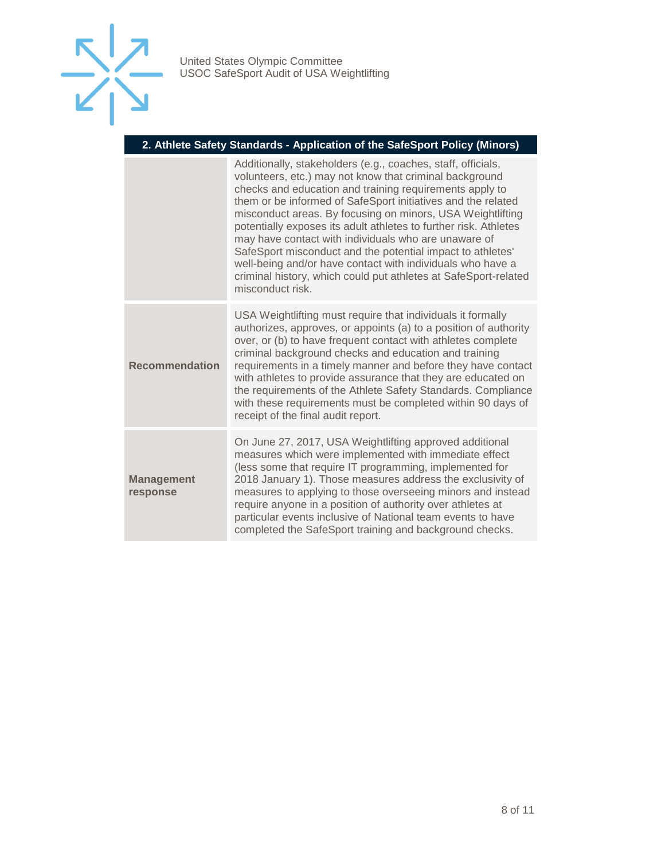

#### **2. Athlete Safety Standards - Application of the SafeSport Policy (Minors)**

|                               | Additionally, stakeholders (e.g., coaches, staff, officials,<br>volunteers, etc.) may not know that criminal background<br>checks and education and training requirements apply to<br>them or be informed of SafeSport initiatives and the related<br>misconduct areas. By focusing on minors, USA Weightlifting<br>potentially exposes its adult athletes to further risk. Athletes<br>may have contact with individuals who are unaware of<br>SafeSport misconduct and the potential impact to athletes'<br>well-being and/or have contact with individuals who have a<br>criminal history, which could put athletes at SafeSport-related<br>misconduct risk. |
|-------------------------------|-----------------------------------------------------------------------------------------------------------------------------------------------------------------------------------------------------------------------------------------------------------------------------------------------------------------------------------------------------------------------------------------------------------------------------------------------------------------------------------------------------------------------------------------------------------------------------------------------------------------------------------------------------------------|
| <b>Recommendation</b>         | USA Weightlifting must require that individuals it formally<br>authorizes, approves, or appoints (a) to a position of authority<br>over, or (b) to have frequent contact with athletes complete<br>criminal background checks and education and training<br>requirements in a timely manner and before they have contact<br>with athletes to provide assurance that they are educated on<br>the requirements of the Athlete Safety Standards. Compliance<br>with these requirements must be completed within 90 days of<br>receipt of the final audit report.                                                                                                   |
| <b>Management</b><br>response | On June 27, 2017, USA Weightlifting approved additional<br>measures which were implemented with immediate effect<br>(less some that require IT programming, implemented for<br>2018 January 1). Those measures address the exclusivity of<br>measures to applying to those overseeing minors and instead<br>require anyone in a position of authority over athletes at<br>particular events inclusive of National team events to have<br>completed the SafeSport training and background checks.                                                                                                                                                                |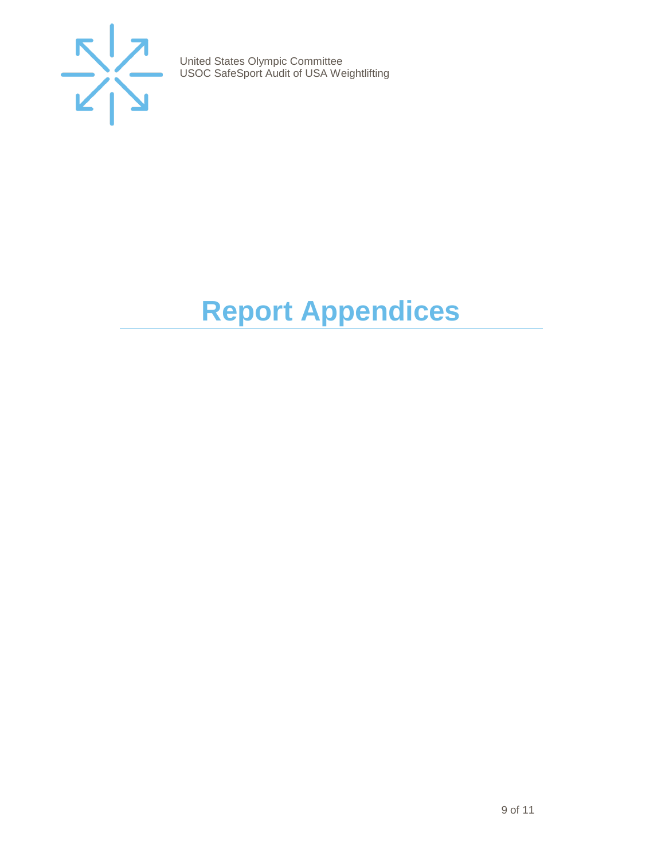

## <span id="page-8-0"></span>**Report Appendices**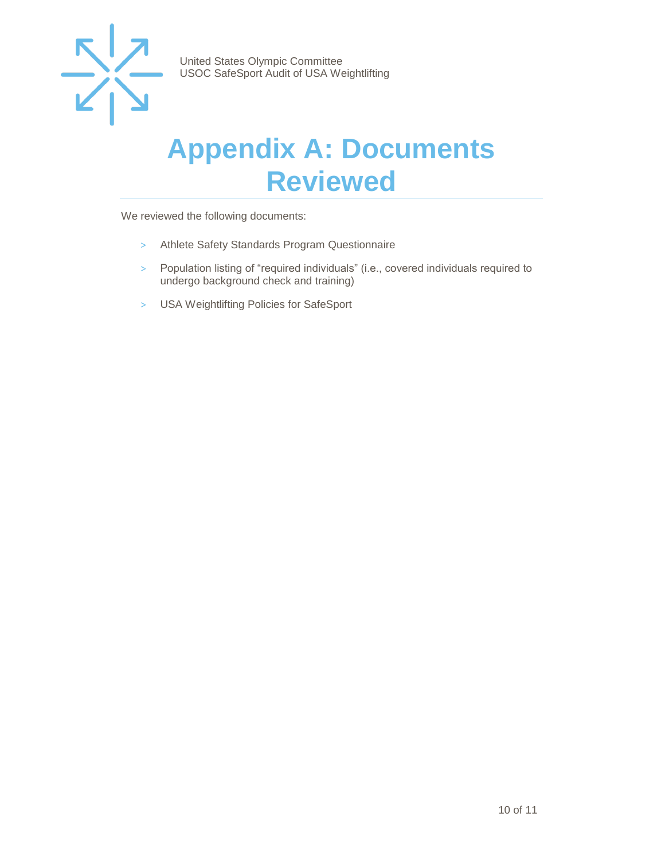

#### <span id="page-9-0"></span>**Appendix A: Documents Reviewed**

We reviewed the following documents:

- > Athlete Safety Standards Program Questionnaire
- > Population listing of "required individuals" (i.e., covered individuals required to undergo background check and training)
- > USA Weightlifting Policies for SafeSport